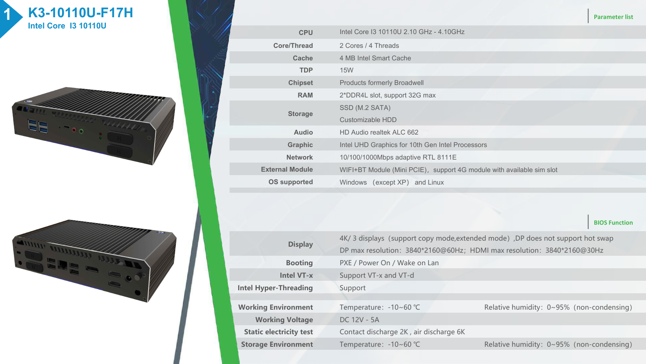





|                        |                                                                       | <b>Parameter list</b> |
|------------------------|-----------------------------------------------------------------------|-----------------------|
| <b>CPU</b>             | Intel Core I3 10110U 2.10 GHz - 4.10GHz                               |                       |
| Core/Thread            | 2 Cores / 4 Threads                                                   |                       |
| <b>Cache</b>           | 4 MB Intel Smart Cache                                                |                       |
| <b>TDP</b>             | <b>15W</b>                                                            |                       |
| <b>Chipset</b>         | <b>Products formerly Broadwell</b>                                    |                       |
| <b>RAM</b>             | 2*DDR4L slot, support 32G max                                         |                       |
| <b>Storage</b>         | SSD (M.2 SATA)                                                        |                       |
|                        | Customizable HDD                                                      |                       |
| <b>Audio</b>           | HD Audio realtek ALC 662                                              |                       |
| <b>Graphic</b>         | Intel UHD Graphics for 10th Gen Intel Processors                      |                       |
| <b>Network</b>         | 10/100/1000Mbps adaptive RTL 8111E                                    |                       |
| <b>External Module</b> | WIFI+BT Module (Mini PCIE), support 4G module with available sim slot |                       |
| <b>OS supported</b>    | Windows (except XP) and Linux                                         |                       |
|                        |                                                                       |                       |

| <b>Display</b>                 |                                        | 4K/ 3 displays (support copy mode, extended mode), DP does not support hot swap |  |  |  |  |
|--------------------------------|----------------------------------------|---------------------------------------------------------------------------------|--|--|--|--|
|                                |                                        | DP max resolution: 3840*2160@60Hz; HDMI max resolution: 3840*2160@30Hz          |  |  |  |  |
| <b>Booting</b>                 | PXE / Power On / Wake on Lan           |                                                                                 |  |  |  |  |
| Intel VT-x                     | Support VT-x and VT-d                  |                                                                                 |  |  |  |  |
| <b>Intel Hyper-Threading</b>   | Support                                |                                                                                 |  |  |  |  |
|                                |                                        |                                                                                 |  |  |  |  |
| <b>Working Environment</b>     | Temperature: -10~60 °C                 | Relative humidity: 0~95% (non-condensing)                                       |  |  |  |  |
| <b>Working Voltage</b>         | DC 12V - 5A                            |                                                                                 |  |  |  |  |
| <b>Static electricity test</b> | Contact discharge 2K, air discharge 6K |                                                                                 |  |  |  |  |
| <b>Storage Environment</b>     | Temperature: -10~60 °C                 | Relative humidity: $0 \sim 95\%$ (non-condensing)                               |  |  |  |  |
|                                |                                        |                                                                                 |  |  |  |  |

**BIOS Function**